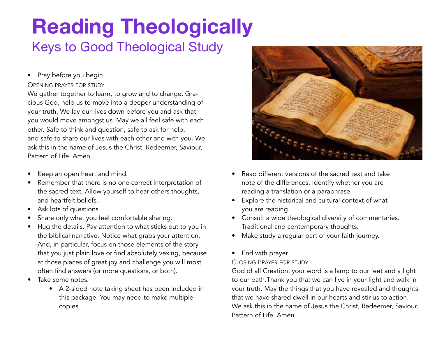### **Reading Theologically**  Keys to Good Theological Study

• Pray before you begin

#### OPENING PRAYER FOR STUDY

and safe to share our lives with each other and with you. We<br>ask this in the name of Jesus the Christ, Redeemer, Saviour, We gather together to learn, to grow and to change. Gracious God, help us to move into a deeper understanding of your truth. We lay our lives down before you and ask that you would move amongst us. May we all feel safe with each other. Safe to think and question, safe to ask for help, and safe to share our lives with each other and with you. We Pattern of Life. Amen.

- Keep an open heart and mind.
- Remember that there is no one correct interpretation of the sacred text. Allow yourself to hear others thoughts, and heartfelt beliefs.
- ıa rı<br>sk lc • Ask lots of questions.
- Share only what you feel comfortable sharing.
- often find answers (or more questions, or both).<br>Take some notes. • Hug the details. Pay attention to what sticks out to you in the biblical narrative. Notice what grabs your attention. And, in particular, focus on those elements of the story that you just plain love or find absolutely vexing, because at those places of great joy and challenge you will most
- Take some notes.
	- A 2-sided note taking sheet has been included in this package. You may need to make multiple copies.



- Read different versions of the sacred text and take note of the differences. Identify whether you are reading a translation or a paraphrase.
- Explore the historical and cultural context of what you are reading.
- Consult a wide theological diversity of commentaries. Traditional and contemporary thoughts.
- Make study a regular part of your faith journey.
- End with prayer.

#### CLOSING PRAYER FOR STUDY

God of all Creation, your word is a lamp to our feet and a light to our path.Thank you that we can live in your light and walk in your truth. May the things that you have revealed and thoughts that we have shared dwell in our hearts and stir us to action. We ask this in the name of Jesus the Christ, Redeemer, Saviour, Pattern of Life. Amen.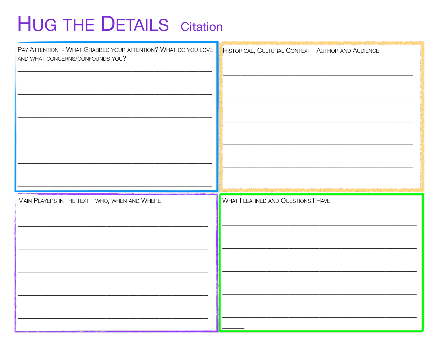# **HUG THE DETAILS** Citation

| PAY ATTENTION ~ WHAT GRABBED YOUR ATTENTION? WHAT DO YOU LOVE<br>AND WHAT CONCERNS/CONFOUNDS YOU? | HISTORICAL, CULTURAL CONTEXT - AUTHOR AND AUDIENCE |
|---------------------------------------------------------------------------------------------------|----------------------------------------------------|
| MAIN PLAYERS IN THE TEXT - WHO, WHEN AND WHERE                                                    | <b>WHAT I LEARNED AND QUESTIONS I HAVE</b>         |